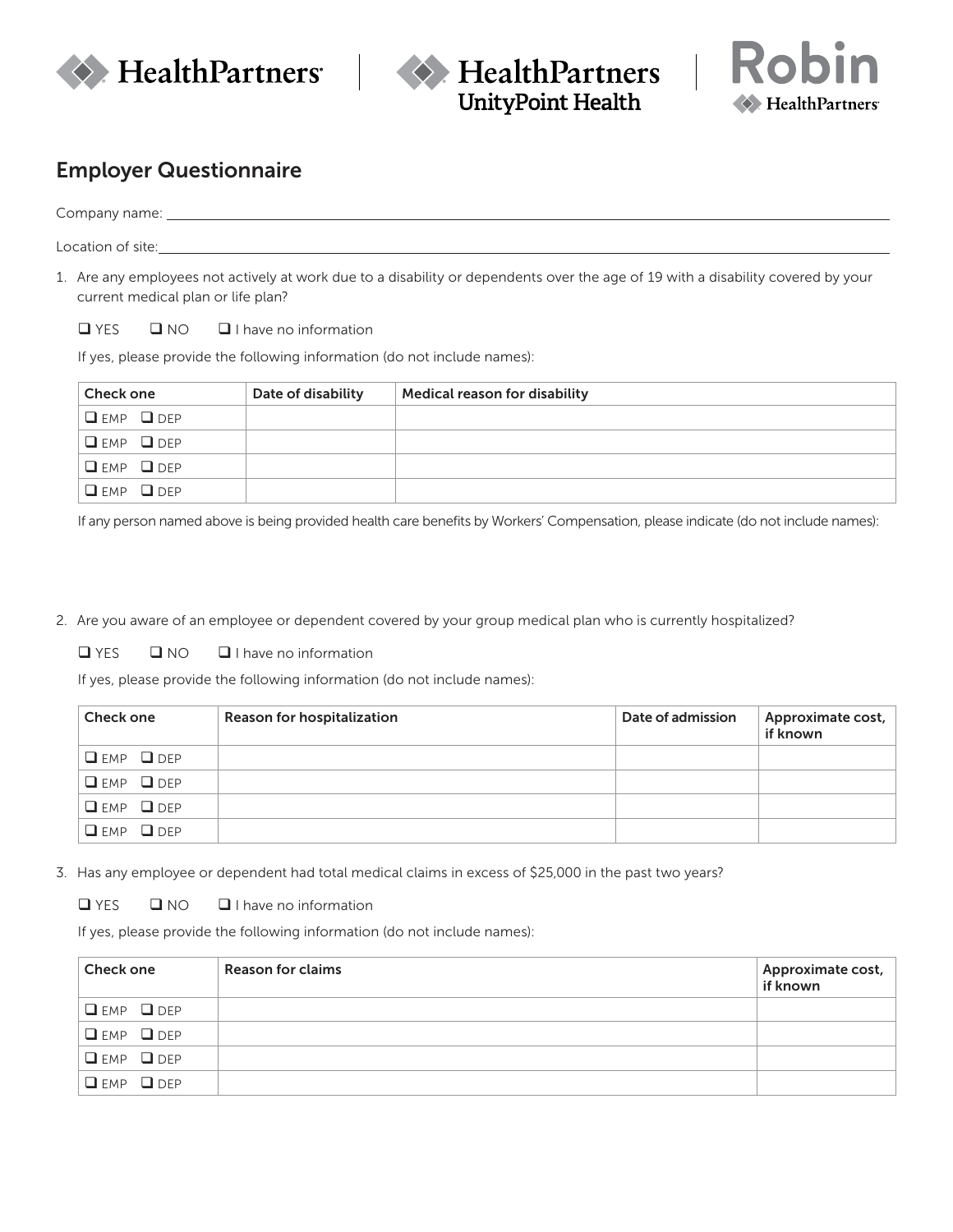



$$
\text{Robin}_{\text{HealthPartners}}
$$

## Employer Questionnaire

Company name:

Location of site:

1. Are any employees not actively at work due to a disability or dependents over the age of 19 with a disability covered by your current medical plan or life plan?

 $\Box$  YES  $\Box$  NO  $\Box$  I have no information

If yes, please provide the following information (do not include names):

| <b>Check one</b>            | Date of disability | <b>Medical reason for disability</b> |
|-----------------------------|--------------------|--------------------------------------|
| $\square$ EMP $\square$ DEP |                    |                                      |
| $\Box$ EMP $\Box$ DEP       |                    |                                      |
| $\square$ EMP $\square$ DEP |                    |                                      |
| $\Box$ EMP $\Box$ DEP       |                    |                                      |

If any person named above is being provided health care benefits by Workers' Compensation, please indicate (do not include names):

2. Are you aware of an employee or dependent covered by your group medical plan who is currently hospitalized?

 $\Box$  YES  $\Box$  NO  $\Box$  I have no information

If yes, please provide the following information (do not include names):

| Check one                   | Reason for hospitalization | Date of admission | Approximate cost,<br>if known |
|-----------------------------|----------------------------|-------------------|-------------------------------|
| $Q$ EMP $Q$ DEP             |                            |                   |                               |
| $\square$ EMP $\square$ DEP |                            |                   |                               |
| $Q$ EMP $Q$ DEP             |                            |                   |                               |
| $Q$ EMP $Q$ DEP             |                            |                   |                               |

3. Has any employee or dependent had total medical claims in excess of \$25,000 in the past two years?

 $\Box$  YES  $\Box$  NO  $\Box$  I have no information

If yes, please provide the following information (do not include names):

| <b>Check one</b>      | Reason for claims | Approximate cost,<br>if known |
|-----------------------|-------------------|-------------------------------|
| $\Box$ EMP $\Box$ DEP |                   |                               |
| $Q$ EMP $Q$ DEP       |                   |                               |
| $Q$ EMP $Q$ DEP       |                   |                               |
| $Q$ EMP $Q$ DEP       |                   |                               |